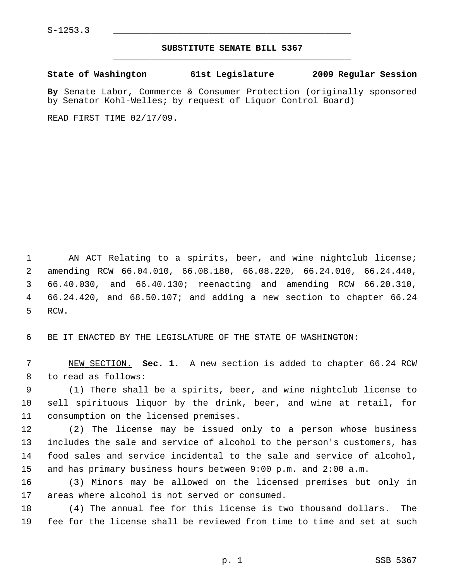## **SUBSTITUTE SENATE BILL 5367** \_\_\_\_\_\_\_\_\_\_\_\_\_\_\_\_\_\_\_\_\_\_\_\_\_\_\_\_\_\_\_\_\_\_\_\_\_\_\_\_\_\_\_\_\_

**State of Washington 61st Legislature 2009 Regular Session**

**By** Senate Labor, Commerce & Consumer Protection (originally sponsored by Senator Kohl-Welles; by request of Liquor Control Board)

READ FIRST TIME 02/17/09.

 1 AN ACT Relating to a spirits, beer, and wine nightclub license; 2 amending RCW 66.04.010, 66.08.180, 66.08.220, 66.24.010, 66.24.440, 3 66.40.030, and 66.40.130; reenacting and amending RCW 66.20.310, 4 66.24.420, and 68.50.107; and adding a new section to chapter 66.24 5 RCW.

6 BE IT ENACTED BY THE LEGISLATURE OF THE STATE OF WASHINGTON:

 7 NEW SECTION. **Sec. 1.** A new section is added to chapter 66.24 RCW 8 to read as follows:

 9 (1) There shall be a spirits, beer, and wine nightclub license to 10 sell spirituous liquor by the drink, beer, and wine at retail, for 11 consumption on the licensed premises.

12 (2) The license may be issued only to a person whose business 13 includes the sale and service of alcohol to the person's customers, has 14 food sales and service incidental to the sale and service of alcohol, 15 and has primary business hours between 9:00 p.m. and 2:00 a.m.

16 (3) Minors may be allowed on the licensed premises but only in 17 areas where alcohol is not served or consumed.

18 (4) The annual fee for this license is two thousand dollars. The 19 fee for the license shall be reviewed from time to time and set at such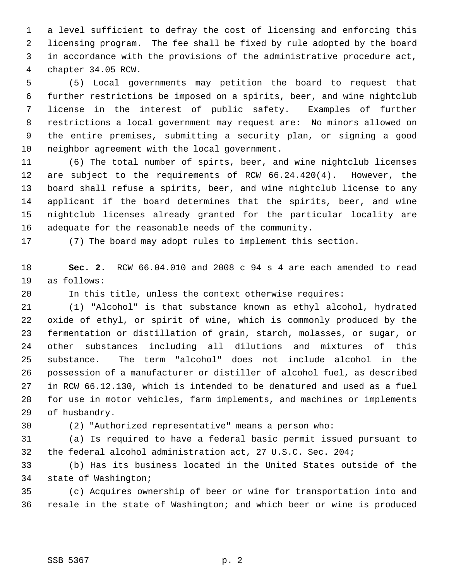1 a level sufficient to defray the cost of licensing and enforcing this 2 licensing program. The fee shall be fixed by rule adopted by the board 3 in accordance with the provisions of the administrative procedure act, 4 chapter 34.05 RCW.

 5 (5) Local governments may petition the board to request that 6 further restrictions be imposed on a spirits, beer, and wine nightclub 7 license in the interest of public safety. Examples of further 8 restrictions a local government may request are: No minors allowed on 9 the entire premises, submitting a security plan, or signing a good 10 neighbor agreement with the local government.

11 (6) The total number of spirts, beer, and wine nightclub licenses 12 are subject to the requirements of RCW 66.24.420(4). However, the 13 board shall refuse a spirits, beer, and wine nightclub license to any 14 applicant if the board determines that the spirits, beer, and wine 15 nightclub licenses already granted for the particular locality are 16 adequate for the reasonable needs of the community.

17 (7) The board may adopt rules to implement this section.

18 **Sec. 2.** RCW 66.04.010 and 2008 c 94 s 4 are each amended to read 19 as follows:

20 In this title, unless the context otherwise requires:

21 (1) "Alcohol" is that substance known as ethyl alcohol, hydrated 22 oxide of ethyl, or spirit of wine, which is commonly produced by the 23 fermentation or distillation of grain, starch, molasses, or sugar, or 24 other substances including all dilutions and mixtures of this 25 substance. The term "alcohol" does not include alcohol in the 26 possession of a manufacturer or distiller of alcohol fuel, as described 27 in RCW 66.12.130, which is intended to be denatured and used as a fuel 28 for use in motor vehicles, farm implements, and machines or implements 29 of husbandry.

30 (2) "Authorized representative" means a person who:

31 (a) Is required to have a federal basic permit issued pursuant to 32 the federal alcohol administration act, 27 U.S.C. Sec. 204;

33 (b) Has its business located in the United States outside of the 34 state of Washington;

35 (c) Acquires ownership of beer or wine for transportation into and 36 resale in the state of Washington; and which beer or wine is produced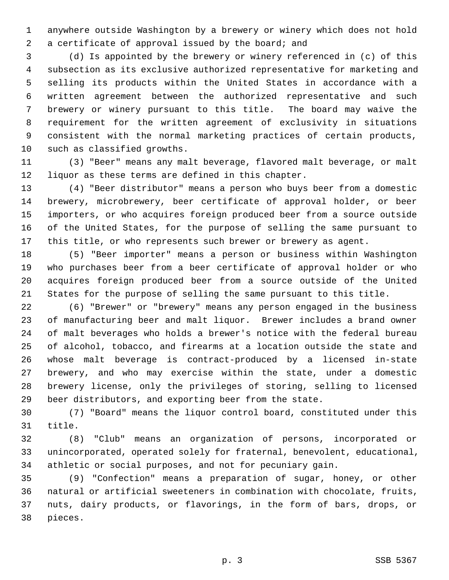1 anywhere outside Washington by a brewery or winery which does not hold 2 a certificate of approval issued by the board; and

 3 (d) Is appointed by the brewery or winery referenced in (c) of this 4 subsection as its exclusive authorized representative for marketing and 5 selling its products within the United States in accordance with a 6 written agreement between the authorized representative and such 7 brewery or winery pursuant to this title. The board may waive the 8 requirement for the written agreement of exclusivity in situations 9 consistent with the normal marketing practices of certain products, 10 such as classified growths.

11 (3) "Beer" means any malt beverage, flavored malt beverage, or malt 12 liquor as these terms are defined in this chapter.

13 (4) "Beer distributor" means a person who buys beer from a domestic 14 brewery, microbrewery, beer certificate of approval holder, or beer 15 importers, or who acquires foreign produced beer from a source outside 16 of the United States, for the purpose of selling the same pursuant to 17 this title, or who represents such brewer or brewery as agent.

18 (5) "Beer importer" means a person or business within Washington 19 who purchases beer from a beer certificate of approval holder or who 20 acquires foreign produced beer from a source outside of the United 21 States for the purpose of selling the same pursuant to this title.

22 (6) "Brewer" or "brewery" means any person engaged in the business 23 of manufacturing beer and malt liquor. Brewer includes a brand owner 24 of malt beverages who holds a brewer's notice with the federal bureau 25 of alcohol, tobacco, and firearms at a location outside the state and 26 whose malt beverage is contract-produced by a licensed in-state 27 brewery, and who may exercise within the state, under a domestic 28 brewery license, only the privileges of storing, selling to licensed 29 beer distributors, and exporting beer from the state.

30 (7) "Board" means the liquor control board, constituted under this 31 title.

32 (8) "Club" means an organization of persons, incorporated or 33 unincorporated, operated solely for fraternal, benevolent, educational, 34 athletic or social purposes, and not for pecuniary gain.

35 (9) "Confection" means a preparation of sugar, honey, or other 36 natural or artificial sweeteners in combination with chocolate, fruits, 37 nuts, dairy products, or flavorings, in the form of bars, drops, or 38 pieces.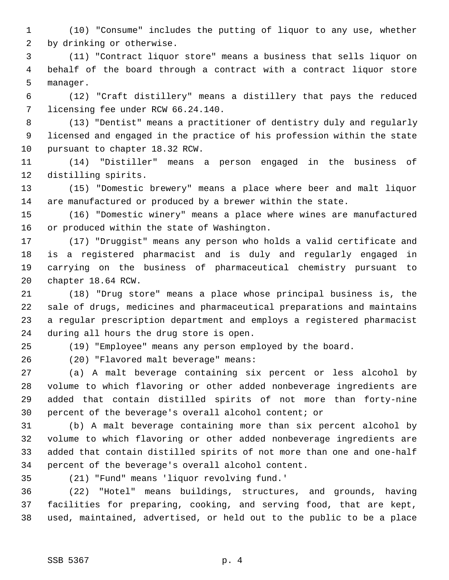1 (10) "Consume" includes the putting of liquor to any use, whether 2 by drinking or otherwise.

 3 (11) "Contract liquor store" means a business that sells liquor on 4 behalf of the board through a contract with a contract liquor store 5 manager.

 6 (12) "Craft distillery" means a distillery that pays the reduced 7 licensing fee under RCW 66.24.140.

 8 (13) "Dentist" means a practitioner of dentistry duly and regularly 9 licensed and engaged in the practice of his profession within the state 10 pursuant to chapter 18.32 RCW.

11 (14) "Distiller" means a person engaged in the business of 12 distilling spirits.

13 (15) "Domestic brewery" means a place where beer and malt liquor 14 are manufactured or produced by a brewer within the state.

15 (16) "Domestic winery" means a place where wines are manufactured 16 or produced within the state of Washington.

17 (17) "Druggist" means any person who holds a valid certificate and 18 is a registered pharmacist and is duly and regularly engaged in 19 carrying on the business of pharmaceutical chemistry pursuant to 20 chapter 18.64 RCW.

21 (18) "Drug store" means a place whose principal business is, the 22 sale of drugs, medicines and pharmaceutical preparations and maintains 23 a regular prescription department and employs a registered pharmacist 24 during all hours the drug store is open.

25 (19) "Employee" means any person employed by the board.

26 (20) "Flavored malt beverage" means:

27 (a) A malt beverage containing six percent or less alcohol by 28 volume to which flavoring or other added nonbeverage ingredients are 29 added that contain distilled spirits of not more than forty-nine 30 percent of the beverage's overall alcohol content; or

31 (b) A malt beverage containing more than six percent alcohol by 32 volume to which flavoring or other added nonbeverage ingredients are 33 added that contain distilled spirits of not more than one and one-half 34 percent of the beverage's overall alcohol content.

35 (21) "Fund" means 'liquor revolving fund.'

36 (22) "Hotel" means buildings, structures, and grounds, having 37 facilities for preparing, cooking, and serving food, that are kept, 38 used, maintained, advertised, or held out to the public to be a place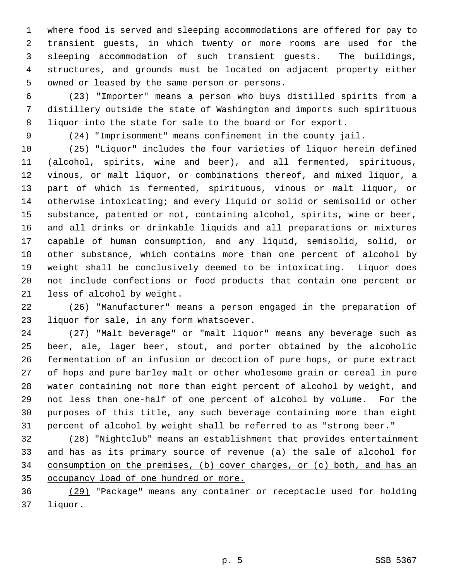1 where food is served and sleeping accommodations are offered for pay to 2 transient guests, in which twenty or more rooms are used for the 3 sleeping accommodation of such transient guests. The buildings, 4 structures, and grounds must be located on adjacent property either 5 owned or leased by the same person or persons.

 6 (23) "Importer" means a person who buys distilled spirits from a 7 distillery outside the state of Washington and imports such spirituous 8 liquor into the state for sale to the board or for export.

9 (24) "Imprisonment" means confinement in the county jail.

10 (25) "Liquor" includes the four varieties of liquor herein defined 11 (alcohol, spirits, wine and beer), and all fermented, spirituous, 12 vinous, or malt liquor, or combinations thereof, and mixed liquor, a 13 part of which is fermented, spirituous, vinous or malt liquor, or 14 otherwise intoxicating; and every liquid or solid or semisolid or other 15 substance, patented or not, containing alcohol, spirits, wine or beer, 16 and all drinks or drinkable liquids and all preparations or mixtures 17 capable of human consumption, and any liquid, semisolid, solid, or 18 other substance, which contains more than one percent of alcohol by 19 weight shall be conclusively deemed to be intoxicating. Liquor does 20 not include confections or food products that contain one percent or 21 less of alcohol by weight.

22 (26) "Manufacturer" means a person engaged in the preparation of 23 liquor for sale, in any form whatsoever.

24 (27) "Malt beverage" or "malt liquor" means any beverage such as 25 beer, ale, lager beer, stout, and porter obtained by the alcoholic 26 fermentation of an infusion or decoction of pure hops, or pure extract 27 of hops and pure barley malt or other wholesome grain or cereal in pure 28 water containing not more than eight percent of alcohol by weight, and 29 not less than one-half of one percent of alcohol by volume. For the 30 purposes of this title, any such beverage containing more than eight 31 percent of alcohol by weight shall be referred to as "strong beer."

32 (28) "Nightclub" means an establishment that provides entertainment and has as its primary source of revenue (a) the sale of alcohol for consumption on the premises, (b) cover charges, or (c) both, and has an occupancy load of one hundred or more.

36 (29) "Package" means any container or receptacle used for holding 37 liquor.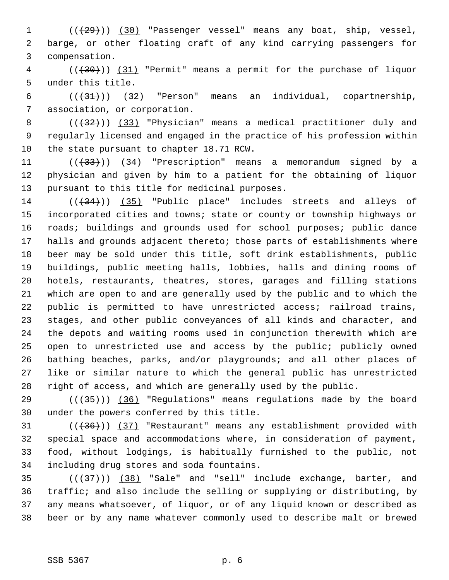1 (( $\left(\frac{29}{1}\right)$ ) (30) "Passenger vessel" means any boat, ship, vessel, 2 barge, or other floating craft of any kind carrying passengers for 3 compensation.

 4 (((30))) (31) "Permit" means a permit for the purchase of liquor 5 under this title.

6  $((+31))$   $(32)$  "Person" means an individual, copartnership, 7 association, or corporation.

8  $((+32))$  (33) "Physician" means a medical practitioner duly and 9 regularly licensed and engaged in the practice of his profession within 10 the state pursuant to chapter 18.71 RCW.

11 ((+33))) (34) "Prescription" means a memorandum signed by a 12 physician and given by him to a patient for the obtaining of liquor 13 pursuant to this title for medicinal purposes.

14  $((+34))$   $(35)$  "Public place" includes streets and alleys of 15 incorporated cities and towns; state or county or township highways or 16 roads; buildings and grounds used for school purposes; public dance 17 halls and grounds adjacent thereto; those parts of establishments where 18 beer may be sold under this title, soft drink establishments, public 19 buildings, public meeting halls, lobbies, halls and dining rooms of 20 hotels, restaurants, theatres, stores, garages and filling stations 21 which are open to and are generally used by the public and to which the 22 public is permitted to have unrestricted access; railroad trains, 23 stages, and other public conveyances of all kinds and character, and 24 the depots and waiting rooms used in conjunction therewith which are 25 open to unrestricted use and access by the public; publicly owned 26 bathing beaches, parks, and/or playgrounds; and all other places of 27 like or similar nature to which the general public has unrestricted 28 right of access, and which are generally used by the public.

29 ( $(\overline{35})$ ) (36) "Regulations" means regulations made by the board 30 under the powers conferred by this title.

31  $((+36))$   $(37)$  "Restaurant" means any establishment provided with 32 special space and accommodations where, in consideration of payment, 33 food, without lodgings, is habitually furnished to the public, not 34 including drug stores and soda fountains.

 $(35$   $((+37))$   $(38)$  "Sale" and "sell" include exchange, barter, and 36 traffic; and also include the selling or supplying or distributing, by 37 any means whatsoever, of liquor, or of any liquid known or described as 38 beer or by any name whatever commonly used to describe malt or brewed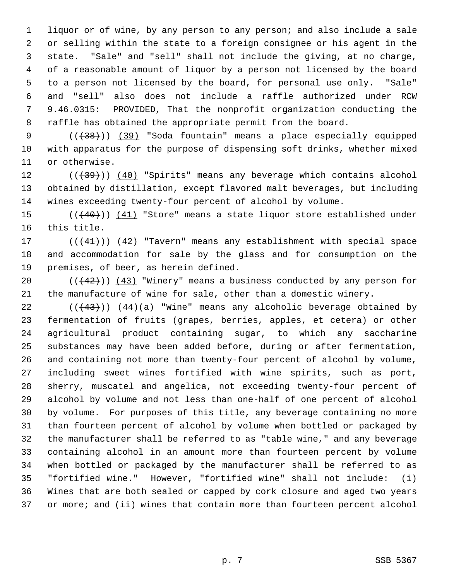1 liquor or of wine, by any person to any person; and also include a sale 2 or selling within the state to a foreign consignee or his agent in the 3 state. "Sale" and "sell" shall not include the giving, at no charge, 4 of a reasonable amount of liquor by a person not licensed by the board 5 to a person not licensed by the board, for personal use only. "Sale" 6 and "sell" also does not include a raffle authorized under RCW 7 9.46.0315: PROVIDED, That the nonprofit organization conducting the 8 raffle has obtained the appropriate permit from the board.

9  $((+38))$  (39) "Soda fountain" means a place especially equipped 10 with apparatus for the purpose of dispensing soft drinks, whether mixed 11 or otherwise.

 $12$  ( $(\overline{+39})$ ) (40) "Spirits" means any beverage which contains alcohol 13 obtained by distillation, except flavored malt beverages, but including 14 wines exceeding twenty-four percent of alcohol by volume.

15 (( $(40)$ )) (41) "Store" means a state liquor store established under 16 this title.

17 (((41))) (42) "Tavern" means any establishment with special space 18 and accommodation for sale by the glass and for consumption on the 19 premises, of beer, as herein defined.

20  $((+42))$   $(43)$  "Winery" means a business conducted by any person for 21 the manufacture of wine for sale, other than a domestic winery.

22  $((43))$   $(44)(a)$  "Wine" means any alcoholic beverage obtained by 23 fermentation of fruits (grapes, berries, apples, et cetera) or other 24 agricultural product containing sugar, to which any saccharine 25 substances may have been added before, during or after fermentation, 26 and containing not more than twenty-four percent of alcohol by volume, 27 including sweet wines fortified with wine spirits, such as port, 28 sherry, muscatel and angelica, not exceeding twenty-four percent of 29 alcohol by volume and not less than one-half of one percent of alcohol 30 by volume. For purposes of this title, any beverage containing no more 31 than fourteen percent of alcohol by volume when bottled or packaged by 32 the manufacturer shall be referred to as "table wine," and any beverage 33 containing alcohol in an amount more than fourteen percent by volume 34 when bottled or packaged by the manufacturer shall be referred to as 35 "fortified wine." However, "fortified wine" shall not include: (i) 36 Wines that are both sealed or capped by cork closure and aged two years 37 or more; and (ii) wines that contain more than fourteen percent alcohol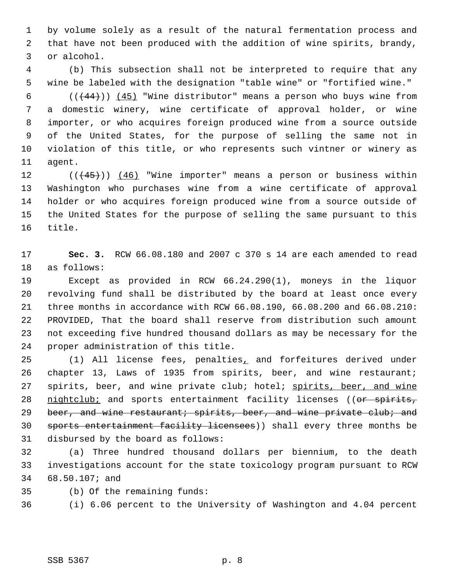1 by volume solely as a result of the natural fermentation process and 2 that have not been produced with the addition of wine spirits, brandy, 3 or alcohol.

 4 (b) This subsection shall not be interpreted to require that any 5 wine be labeled with the designation "table wine" or "fortified wine."

6  $((+44))$   $(45)$  "Wine distributor" means a person who buys wine from 7 a domestic winery, wine certificate of approval holder, or wine 8 importer, or who acquires foreign produced wine from a source outside 9 of the United States, for the purpose of selling the same not in 10 violation of this title, or who represents such vintner or winery as 11 agent.

12  $((45))$   $(46)$  "Wine importer" means a person or business within 13 Washington who purchases wine from a wine certificate of approval 14 holder or who acquires foreign produced wine from a source outside of 15 the United States for the purpose of selling the same pursuant to this 16 title.

17 **Sec. 3.** RCW 66.08.180 and 2007 c 370 s 14 are each amended to read 18 as follows:

19 Except as provided in RCW 66.24.290(1), moneys in the liquor 20 revolving fund shall be distributed by the board at least once every 21 three months in accordance with RCW 66.08.190, 66.08.200 and 66.08.210: 22 PROVIDED, That the board shall reserve from distribution such amount 23 not exceeding five hundred thousand dollars as may be necessary for the 24 proper administration of this title.

25 (1) All license fees, penalties, and forfeitures derived under 26 chapter 13, Laws of 1935 from spirits, beer, and wine restaurant; 27 spirits, beer, and wine private club; hotel; spirits, beer, and wine 28 nightclub; and sports entertainment facility licenses ((or spirits, 29 beer, and wine restaurant; spirits, beer, and wine private club; and 30 sports entertainment facility licensees)) shall every three months be 31 disbursed by the board as follows:

32 (a) Three hundred thousand dollars per biennium, to the death 33 investigations account for the state toxicology program pursuant to RCW 34 68.50.107; and

35 (b) Of the remaining funds:

36 (i) 6.06 percent to the University of Washington and 4.04 percent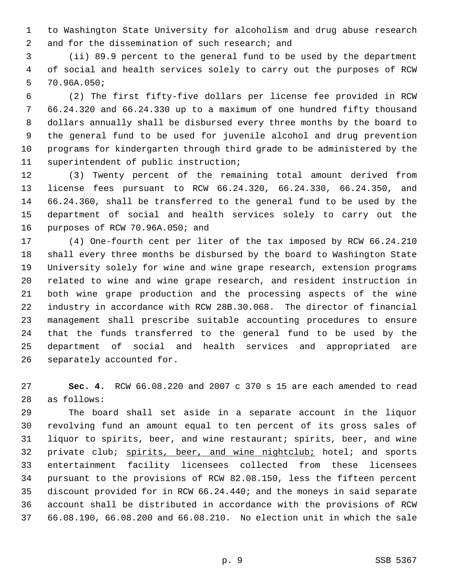1 to Washington State University for alcoholism and drug abuse research 2 and for the dissemination of such research; and

 3 (ii) 89.9 percent to the general fund to be used by the department 4 of social and health services solely to carry out the purposes of RCW 5 70.96A.050;

 6 (2) The first fifty-five dollars per license fee provided in RCW 7 66.24.320 and 66.24.330 up to a maximum of one hundred fifty thousand 8 dollars annually shall be disbursed every three months by the board to 9 the general fund to be used for juvenile alcohol and drug prevention 10 programs for kindergarten through third grade to be administered by the 11 superintendent of public instruction;

12 (3) Twenty percent of the remaining total amount derived from 13 license fees pursuant to RCW 66.24.320, 66.24.330, 66.24.350, and 14 66.24.360, shall be transferred to the general fund to be used by the 15 department of social and health services solely to carry out the 16 purposes of RCW 70.96A.050; and

17 (4) One-fourth cent per liter of the tax imposed by RCW 66.24.210 18 shall every three months be disbursed by the board to Washington State 19 University solely for wine and wine grape research, extension programs 20 related to wine and wine grape research, and resident instruction in 21 both wine grape production and the processing aspects of the wine 22 industry in accordance with RCW 28B.30.068. The director of financial 23 management shall prescribe suitable accounting procedures to ensure 24 that the funds transferred to the general fund to be used by the 25 department of social and health services and appropriated are 26 separately accounted for.

27 **Sec. 4.** RCW 66.08.220 and 2007 c 370 s 15 are each amended to read 28 as follows:

29 The board shall set aside in a separate account in the liquor 30 revolving fund an amount equal to ten percent of its gross sales of 31 liquor to spirits, beer, and wine restaurant; spirits, beer, and wine 32 private club; spirits, beer, and wine nightclub; hotel; and sports 33 entertainment facility licensees collected from these licensees 34 pursuant to the provisions of RCW 82.08.150, less the fifteen percent 35 discount provided for in RCW 66.24.440; and the moneys in said separate 36 account shall be distributed in accordance with the provisions of RCW 37 66.08.190, 66.08.200 and 66.08.210. No election unit in which the sale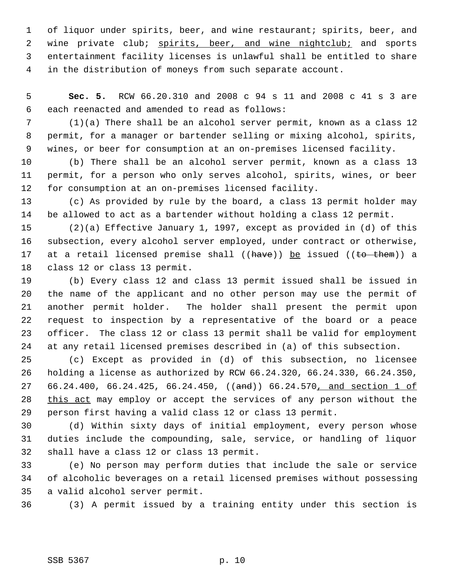1 of liquor under spirits, beer, and wine restaurant; spirits, beer, and 2 wine private club; spirits, beer, and wine nightclub; and sports 3 entertainment facility licenses is unlawful shall be entitled to share 4 in the distribution of moneys from such separate account.

 5 **Sec. 5.** RCW 66.20.310 and 2008 c 94 s 11 and 2008 c 41 s 3 are 6 each reenacted and amended to read as follows:

 7 (1)(a) There shall be an alcohol server permit, known as a class 12 8 permit, for a manager or bartender selling or mixing alcohol, spirits, 9 wines, or beer for consumption at an on-premises licensed facility.

10 (b) There shall be an alcohol server permit, known as a class 13 11 permit, for a person who only serves alcohol, spirits, wines, or beer 12 for consumption at an on-premises licensed facility.

13 (c) As provided by rule by the board, a class 13 permit holder may 14 be allowed to act as a bartender without holding a class 12 permit.

15 (2)(a) Effective January 1, 1997, except as provided in (d) of this 16 subsection, every alcohol server employed, under contract or otherwise, 17 at a retail licensed premise shall ( $(have)$ ) be issued ( $(to - them)$ ) a 18 class 12 or class 13 permit.

19 (b) Every class 12 and class 13 permit issued shall be issued in 20 the name of the applicant and no other person may use the permit of 21 another permit holder. The holder shall present the permit upon 22 request to inspection by a representative of the board or a peace 23 officer. The class 12 or class 13 permit shall be valid for employment 24 at any retail licensed premises described in (a) of this subsection.

25 (c) Except as provided in (d) of this subsection, no licensee 26 holding a license as authorized by RCW 66.24.320, 66.24.330, 66.24.350, 27 66.24.400, 66.24.425, 66.24.450, ((and)) 66.24.570, and section 1 of 28 this act may employ or accept the services of any person without the 29 person first having a valid class 12 or class 13 permit.

30 (d) Within sixty days of initial employment, every person whose 31 duties include the compounding, sale, service, or handling of liquor 32 shall have a class 12 or class 13 permit.

33 (e) No person may perform duties that include the sale or service 34 of alcoholic beverages on a retail licensed premises without possessing 35 a valid alcohol server permit.

36 (3) A permit issued by a training entity under this section is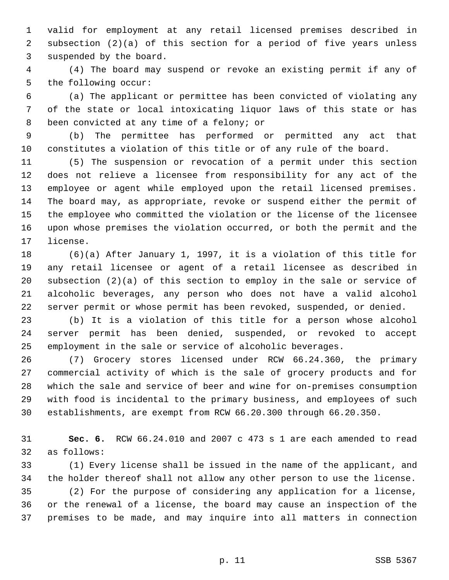1 valid for employment at any retail licensed premises described in 2 subsection (2)(a) of this section for a period of five years unless 3 suspended by the board.

 4 (4) The board may suspend or revoke an existing permit if any of 5 the following occur:

 6 (a) The applicant or permittee has been convicted of violating any 7 of the state or local intoxicating liquor laws of this state or has 8 been convicted at any time of a felony; or

 9 (b) The permittee has performed or permitted any act that 10 constitutes a violation of this title or of any rule of the board.

11 (5) The suspension or revocation of a permit under this section 12 does not relieve a licensee from responsibility for any act of the 13 employee or agent while employed upon the retail licensed premises. 14 The board may, as appropriate, revoke or suspend either the permit of 15 the employee who committed the violation or the license of the licensee 16 upon whose premises the violation occurred, or both the permit and the 17 license.

18 (6)(a) After January 1, 1997, it is a violation of this title for 19 any retail licensee or agent of a retail licensee as described in 20 subsection (2)(a) of this section to employ in the sale or service of 21 alcoholic beverages, any person who does not have a valid alcohol 22 server permit or whose permit has been revoked, suspended, or denied.

23 (b) It is a violation of this title for a person whose alcohol 24 server permit has been denied, suspended, or revoked to accept 25 employment in the sale or service of alcoholic beverages.

26 (7) Grocery stores licensed under RCW 66.24.360, the primary 27 commercial activity of which is the sale of grocery products and for 28 which the sale and service of beer and wine for on-premises consumption 29 with food is incidental to the primary business, and employees of such 30 establishments, are exempt from RCW 66.20.300 through 66.20.350.

31 **Sec. 6.** RCW 66.24.010 and 2007 c 473 s 1 are each amended to read 32 as follows:

33 (1) Every license shall be issued in the name of the applicant, and 34 the holder thereof shall not allow any other person to use the license.

35 (2) For the purpose of considering any application for a license, 36 or the renewal of a license, the board may cause an inspection of the 37 premises to be made, and may inquire into all matters in connection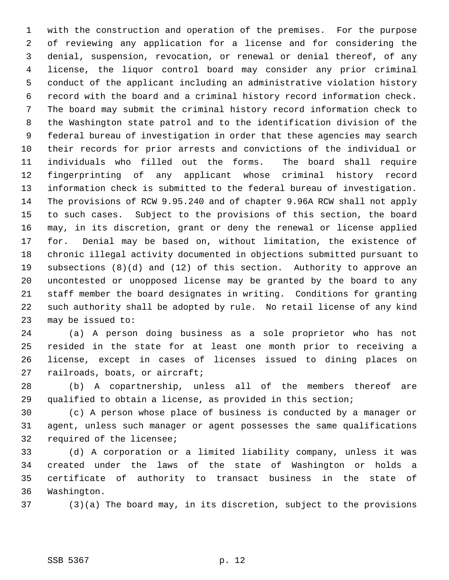1 with the construction and operation of the premises. For the purpose 2 of reviewing any application for a license and for considering the 3 denial, suspension, revocation, or renewal or denial thereof, of any 4 license, the liquor control board may consider any prior criminal 5 conduct of the applicant including an administrative violation history 6 record with the board and a criminal history record information check. 7 The board may submit the criminal history record information check to 8 the Washington state patrol and to the identification division of the 9 federal bureau of investigation in order that these agencies may search 10 their records for prior arrests and convictions of the individual or 11 individuals who filled out the forms. The board shall require 12 fingerprinting of any applicant whose criminal history record 13 information check is submitted to the federal bureau of investigation. 14 The provisions of RCW 9.95.240 and of chapter 9.96A RCW shall not apply 15 to such cases. Subject to the provisions of this section, the board 16 may, in its discretion, grant or deny the renewal or license applied 17 for. Denial may be based on, without limitation, the existence of 18 chronic illegal activity documented in objections submitted pursuant to 19 subsections (8)(d) and (12) of this section. Authority to approve an 20 uncontested or unopposed license may be granted by the board to any 21 staff member the board designates in writing. Conditions for granting 22 such authority shall be adopted by rule. No retail license of any kind 23 may be issued to:

24 (a) A person doing business as a sole proprietor who has not 25 resided in the state for at least one month prior to receiving a 26 license, except in cases of licenses issued to dining places on 27 railroads, boats, or aircraft;

28 (b) A copartnership, unless all of the members thereof are 29 qualified to obtain a license, as provided in this section;

30 (c) A person whose place of business is conducted by a manager or 31 agent, unless such manager or agent possesses the same qualifications 32 required of the licensee;

33 (d) A corporation or a limited liability company, unless it was 34 created under the laws of the state of Washington or holds a 35 certificate of authority to transact business in the state of 36 Washington.

37 (3)(a) The board may, in its discretion, subject to the provisions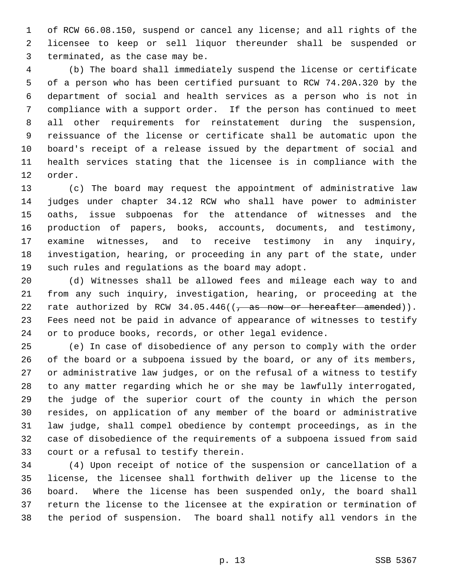1 of RCW 66.08.150, suspend or cancel any license; and all rights of the 2 licensee to keep or sell liquor thereunder shall be suspended or 3 terminated, as the case may be.

 4 (b) The board shall immediately suspend the license or certificate 5 of a person who has been certified pursuant to RCW 74.20A.320 by the 6 department of social and health services as a person who is not in 7 compliance with a support order. If the person has continued to meet 8 all other requirements for reinstatement during the suspension, 9 reissuance of the license or certificate shall be automatic upon the 10 board's receipt of a release issued by the department of social and 11 health services stating that the licensee is in compliance with the 12 order.

13 (c) The board may request the appointment of administrative law 14 judges under chapter 34.12 RCW who shall have power to administer 15 oaths, issue subpoenas for the attendance of witnesses and the 16 production of papers, books, accounts, documents, and testimony, 17 examine witnesses, and to receive testimony in any inquiry, 18 investigation, hearing, or proceeding in any part of the state, under 19 such rules and regulations as the board may adopt.

20 (d) Witnesses shall be allowed fees and mileage each way to and 21 from any such inquiry, investigation, hearing, or proceeding at the 22 rate authorized by RCW  $34.05.446$  ( $\frac{25}{10.05}$  as now or hereafter amended)). 23 Fees need not be paid in advance of appearance of witnesses to testify 24 or to produce books, records, or other legal evidence.

25 (e) In case of disobedience of any person to comply with the order 26 of the board or a subpoena issued by the board, or any of its members, 27 or administrative law judges, or on the refusal of a witness to testify 28 to any matter regarding which he or she may be lawfully interrogated, 29 the judge of the superior court of the county in which the person 30 resides, on application of any member of the board or administrative 31 law judge, shall compel obedience by contempt proceedings, as in the 32 case of disobedience of the requirements of a subpoena issued from said 33 court or a refusal to testify therein.

34 (4) Upon receipt of notice of the suspension or cancellation of a 35 license, the licensee shall forthwith deliver up the license to the 36 board. Where the license has been suspended only, the board shall 37 return the license to the licensee at the expiration or termination of 38 the period of suspension. The board shall notify all vendors in the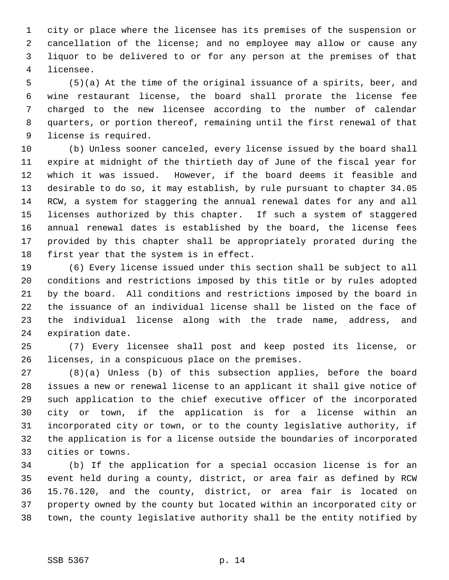1 city or place where the licensee has its premises of the suspension or 2 cancellation of the license; and no employee may allow or cause any 3 liquor to be delivered to or for any person at the premises of that 4 licensee.

 5 (5)(a) At the time of the original issuance of a spirits, beer, and 6 wine restaurant license, the board shall prorate the license fee 7 charged to the new licensee according to the number of calendar 8 quarters, or portion thereof, remaining until the first renewal of that 9 license is required.

10 (b) Unless sooner canceled, every license issued by the board shall 11 expire at midnight of the thirtieth day of June of the fiscal year for 12 which it was issued. However, if the board deems it feasible and 13 desirable to do so, it may establish, by rule pursuant to chapter 34.05 14 RCW, a system for staggering the annual renewal dates for any and all 15 licenses authorized by this chapter. If such a system of staggered 16 annual renewal dates is established by the board, the license fees 17 provided by this chapter shall be appropriately prorated during the 18 first year that the system is in effect.

19 (6) Every license issued under this section shall be subject to all 20 conditions and restrictions imposed by this title or by rules adopted 21 by the board. All conditions and restrictions imposed by the board in 22 the issuance of an individual license shall be listed on the face of 23 the individual license along with the trade name, address, and 24 expiration date.

25 (7) Every licensee shall post and keep posted its license, or 26 licenses, in a conspicuous place on the premises.

27 (8)(a) Unless (b) of this subsection applies, before the board 28 issues a new or renewal license to an applicant it shall give notice of 29 such application to the chief executive officer of the incorporated 30 city or town, if the application is for a license within an 31 incorporated city or town, or to the county legislative authority, if 32 the application is for a license outside the boundaries of incorporated 33 cities or towns.

34 (b) If the application for a special occasion license is for an 35 event held during a county, district, or area fair as defined by RCW 36 15.76.120, and the county, district, or area fair is located on 37 property owned by the county but located within an incorporated city or 38 town, the county legislative authority shall be the entity notified by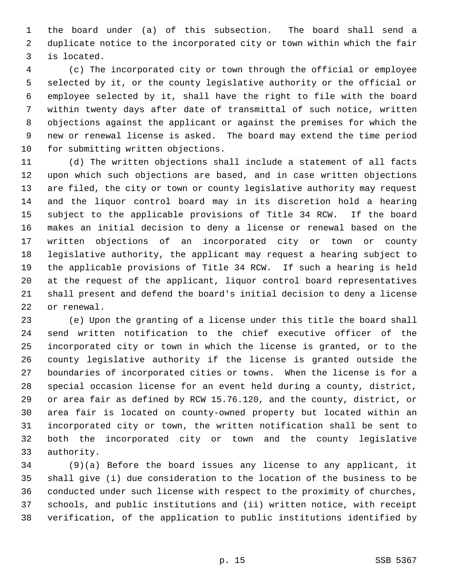1 the board under (a) of this subsection. The board shall send a 2 duplicate notice to the incorporated city or town within which the fair 3 is located.

 4 (c) The incorporated city or town through the official or employee 5 selected by it, or the county legislative authority or the official or 6 employee selected by it, shall have the right to file with the board 7 within twenty days after date of transmittal of such notice, written 8 objections against the applicant or against the premises for which the 9 new or renewal license is asked. The board may extend the time period 10 for submitting written objections.

11 (d) The written objections shall include a statement of all facts 12 upon which such objections are based, and in case written objections 13 are filed, the city or town or county legislative authority may request 14 and the liquor control board may in its discretion hold a hearing 15 subject to the applicable provisions of Title 34 RCW. If the board 16 makes an initial decision to deny a license or renewal based on the 17 written objections of an incorporated city or town or county 18 legislative authority, the applicant may request a hearing subject to 19 the applicable provisions of Title 34 RCW. If such a hearing is held 20 at the request of the applicant, liquor control board representatives 21 shall present and defend the board's initial decision to deny a license 22 or renewal.

23 (e) Upon the granting of a license under this title the board shall 24 send written notification to the chief executive officer of the 25 incorporated city or town in which the license is granted, or to the 26 county legislative authority if the license is granted outside the 27 boundaries of incorporated cities or towns. When the license is for a 28 special occasion license for an event held during a county, district, 29 or area fair as defined by RCW 15.76.120, and the county, district, or 30 area fair is located on county-owned property but located within an 31 incorporated city or town, the written notification shall be sent to 32 both the incorporated city or town and the county legislative 33 authority.

34 (9)(a) Before the board issues any license to any applicant, it 35 shall give (i) due consideration to the location of the business to be 36 conducted under such license with respect to the proximity of churches, 37 schools, and public institutions and (ii) written notice, with receipt 38 verification, of the application to public institutions identified by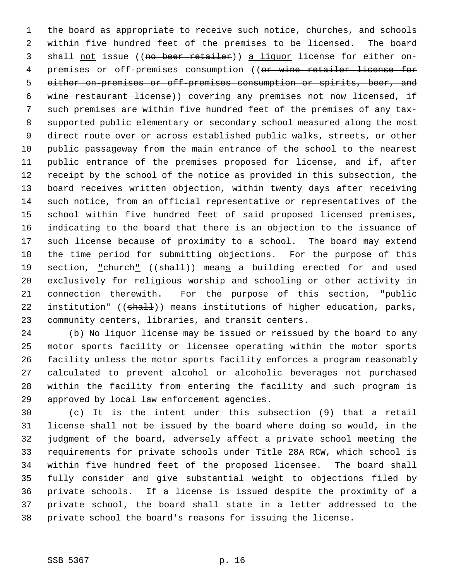1 the board as appropriate to receive such notice, churches, and schools 2 within five hundred feet of the premises to be licensed. The board 3 shall not issue ((no beer retailer)) a liquor license for either on-4 premises or off-premises consumption ((or wine retailer license for 5 either on-premises or off-premises consumption or spirits, beer, and 6 wine restaurant license)) covering any premises not now licensed, if 7 such premises are within five hundred feet of the premises of any tax- 8 supported public elementary or secondary school measured along the most 9 direct route over or across established public walks, streets, or other 10 public passageway from the main entrance of the school to the nearest 11 public entrance of the premises proposed for license, and if, after 12 receipt by the school of the notice as provided in this subsection, the 13 board receives written objection, within twenty days after receiving 14 such notice, from an official representative or representatives of the 15 school within five hundred feet of said proposed licensed premises, 16 indicating to the board that there is an objection to the issuance of 17 such license because of proximity to a school. The board may extend 18 the time period for submitting objections. For the purpose of this 19 section, "church" ((shall)) means a building erected for and used 20 exclusively for religious worship and schooling or other activity in 21 connection therewith. For the purpose of this section, "public 22 institution" ((shall)) means institutions of higher education, parks, 23 community centers, libraries, and transit centers.

24 (b) No liquor license may be issued or reissued by the board to any 25 motor sports facility or licensee operating within the motor sports 26 facility unless the motor sports facility enforces a program reasonably 27 calculated to prevent alcohol or alcoholic beverages not purchased 28 within the facility from entering the facility and such program is 29 approved by local law enforcement agencies.

30 (c) It is the intent under this subsection (9) that a retail 31 license shall not be issued by the board where doing so would, in the 32 judgment of the board, adversely affect a private school meeting the 33 requirements for private schools under Title 28A RCW, which school is 34 within five hundred feet of the proposed licensee. The board shall 35 fully consider and give substantial weight to objections filed by 36 private schools. If a license is issued despite the proximity of a 37 private school, the board shall state in a letter addressed to the 38 private school the board's reasons for issuing the license.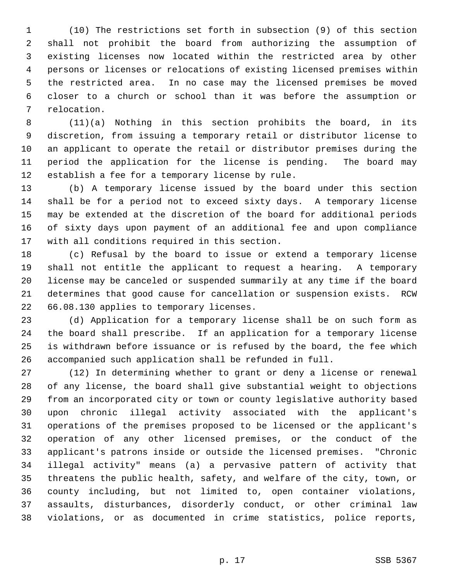1 (10) The restrictions set forth in subsection (9) of this section 2 shall not prohibit the board from authorizing the assumption of 3 existing licenses now located within the restricted area by other 4 persons or licenses or relocations of existing licensed premises within 5 the restricted area. In no case may the licensed premises be moved 6 closer to a church or school than it was before the assumption or 7 relocation.

 8 (11)(a) Nothing in this section prohibits the board, in its 9 discretion, from issuing a temporary retail or distributor license to 10 an applicant to operate the retail or distributor premises during the 11 period the application for the license is pending. The board may 12 establish a fee for a temporary license by rule.

13 (b) A temporary license issued by the board under this section 14 shall be for a period not to exceed sixty days. A temporary license 15 may be extended at the discretion of the board for additional periods 16 of sixty days upon payment of an additional fee and upon compliance 17 with all conditions required in this section.

18 (c) Refusal by the board to issue or extend a temporary license 19 shall not entitle the applicant to request a hearing. A temporary 20 license may be canceled or suspended summarily at any time if the board 21 determines that good cause for cancellation or suspension exists. RCW 22 66.08.130 applies to temporary licenses.

23 (d) Application for a temporary license shall be on such form as 24 the board shall prescribe. If an application for a temporary license 25 is withdrawn before issuance or is refused by the board, the fee which 26 accompanied such application shall be refunded in full.

27 (12) In determining whether to grant or deny a license or renewal 28 of any license, the board shall give substantial weight to objections 29 from an incorporated city or town or county legislative authority based 30 upon chronic illegal activity associated with the applicant's 31 operations of the premises proposed to be licensed or the applicant's 32 operation of any other licensed premises, or the conduct of the 33 applicant's patrons inside or outside the licensed premises. "Chronic 34 illegal activity" means (a) a pervasive pattern of activity that 35 threatens the public health, safety, and welfare of the city, town, or 36 county including, but not limited to, open container violations, 37 assaults, disturbances, disorderly conduct, or other criminal law 38 violations, or as documented in crime statistics, police reports,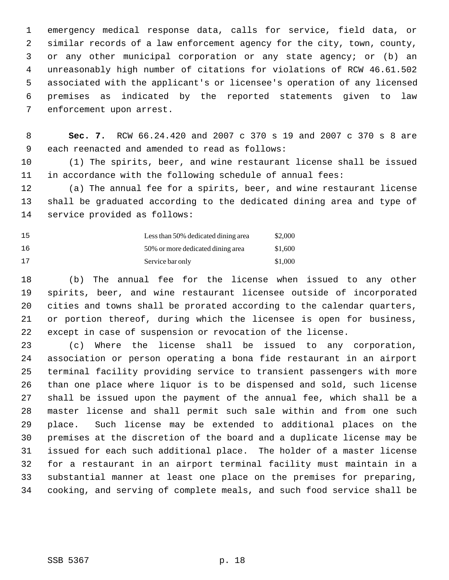1 emergency medical response data, calls for service, field data, or 2 similar records of a law enforcement agency for the city, town, county, 3 or any other municipal corporation or any state agency; or (b) an 4 unreasonably high number of citations for violations of RCW 46.61.502 5 associated with the applicant's or licensee's operation of any licensed 6 premises as indicated by the reported statements given to law 7 enforcement upon arrest.

 8 **Sec. 7.** RCW 66.24.420 and 2007 c 370 s 19 and 2007 c 370 s 8 are 9 each reenacted and amended to read as follows:

10 (1) The spirits, beer, and wine restaurant license shall be issued 11 in accordance with the following schedule of annual fees:

12 (a) The annual fee for a spirits, beer, and wine restaurant license 13 shall be graduated according to the dedicated dining area and type of 14 service provided as follows:

| 15  | Less than 50% dedicated dining area | \$2,000 |
|-----|-------------------------------------|---------|
| 16  | 50% or more dedicated dining area   | \$1,600 |
| -17 | Service bar only                    | \$1,000 |

18 (b) The annual fee for the license when issued to any other 19 spirits, beer, and wine restaurant licensee outside of incorporated 20 cities and towns shall be prorated according to the calendar quarters, 21 or portion thereof, during which the licensee is open for business, 22 except in case of suspension or revocation of the license.

23 (c) Where the license shall be issued to any corporation, 24 association or person operating a bona fide restaurant in an airport 25 terminal facility providing service to transient passengers with more 26 than one place where liquor is to be dispensed and sold, such license 27 shall be issued upon the payment of the annual fee, which shall be a 28 master license and shall permit such sale within and from one such 29 place. Such license may be extended to additional places on the 30 premises at the discretion of the board and a duplicate license may be 31 issued for each such additional place. The holder of a master license 32 for a restaurant in an airport terminal facility must maintain in a 33 substantial manner at least one place on the premises for preparing, 34 cooking, and serving of complete meals, and such food service shall be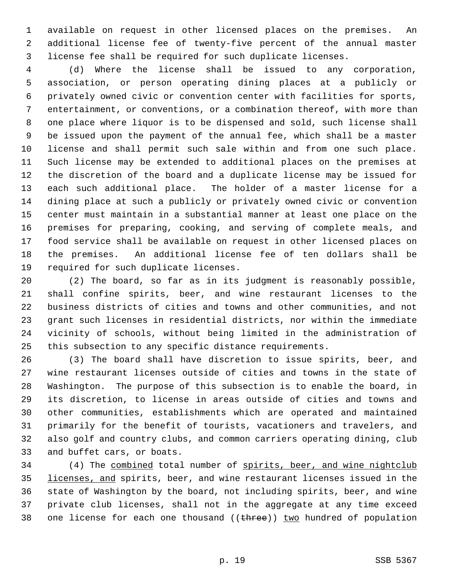1 available on request in other licensed places on the premises. An 2 additional license fee of twenty-five percent of the annual master 3 license fee shall be required for such duplicate licenses.

 4 (d) Where the license shall be issued to any corporation, 5 association, or person operating dining places at a publicly or 6 privately owned civic or convention center with facilities for sports, 7 entertainment, or conventions, or a combination thereof, with more than 8 one place where liquor is to be dispensed and sold, such license shall 9 be issued upon the payment of the annual fee, which shall be a master 10 license and shall permit such sale within and from one such place. 11 Such license may be extended to additional places on the premises at 12 the discretion of the board and a duplicate license may be issued for 13 each such additional place. The holder of a master license for a 14 dining place at such a publicly or privately owned civic or convention 15 center must maintain in a substantial manner at least one place on the 16 premises for preparing, cooking, and serving of complete meals, and 17 food service shall be available on request in other licensed places on 18 the premises. An additional license fee of ten dollars shall be 19 required for such duplicate licenses.

20 (2) The board, so far as in its judgment is reasonably possible, 21 shall confine spirits, beer, and wine restaurant licenses to the 22 business districts of cities and towns and other communities, and not 23 grant such licenses in residential districts, nor within the immediate 24 vicinity of schools, without being limited in the administration of 25 this subsection to any specific distance requirements.

26 (3) The board shall have discretion to issue spirits, beer, and 27 wine restaurant licenses outside of cities and towns in the state of 28 Washington. The purpose of this subsection is to enable the board, in 29 its discretion, to license in areas outside of cities and towns and 30 other communities, establishments which are operated and maintained 31 primarily for the benefit of tourists, vacationers and travelers, and 32 also golf and country clubs, and common carriers operating dining, club 33 and buffet cars, or boats.

34 (4) The combined total number of spirits, beer, and wine nightclub 35 licenses, and spirits, beer, and wine restaurant licenses issued in the 36 state of Washington by the board, not including spirits, beer, and wine 37 private club licenses, shall not in the aggregate at any time exceed 38 one license for each one thousand  $((time))$  two hundred of population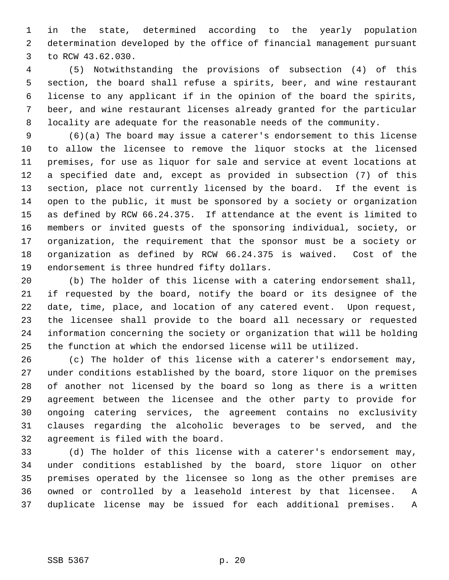1 in the state, determined according to the yearly population 2 determination developed by the office of financial management pursuant 3 to RCW 43.62.030.

 4 (5) Notwithstanding the provisions of subsection (4) of this 5 section, the board shall refuse a spirits, beer, and wine restaurant 6 license to any applicant if in the opinion of the board the spirits, 7 beer, and wine restaurant licenses already granted for the particular 8 locality are adequate for the reasonable needs of the community.

 9 (6)(a) The board may issue a caterer's endorsement to this license 10 to allow the licensee to remove the liquor stocks at the licensed 11 premises, for use as liquor for sale and service at event locations at 12 a specified date and, except as provided in subsection (7) of this 13 section, place not currently licensed by the board. If the event is 14 open to the public, it must be sponsored by a society or organization 15 as defined by RCW 66.24.375. If attendance at the event is limited to 16 members or invited guests of the sponsoring individual, society, or 17 organization, the requirement that the sponsor must be a society or 18 organization as defined by RCW 66.24.375 is waived. Cost of the 19 endorsement is three hundred fifty dollars.

20 (b) The holder of this license with a catering endorsement shall, 21 if requested by the board, notify the board or its designee of the 22 date, time, place, and location of any catered event. Upon request, 23 the licensee shall provide to the board all necessary or requested 24 information concerning the society or organization that will be holding 25 the function at which the endorsed license will be utilized.

26 (c) The holder of this license with a caterer's endorsement may, 27 under conditions established by the board, store liquor on the premises 28 of another not licensed by the board so long as there is a written 29 agreement between the licensee and the other party to provide for 30 ongoing catering services, the agreement contains no exclusivity 31 clauses regarding the alcoholic beverages to be served, and the 32 agreement is filed with the board.

33 (d) The holder of this license with a caterer's endorsement may, 34 under conditions established by the board, store liquor on other 35 premises operated by the licensee so long as the other premises are 36 owned or controlled by a leasehold interest by that licensee. A 37 duplicate license may be issued for each additional premises. A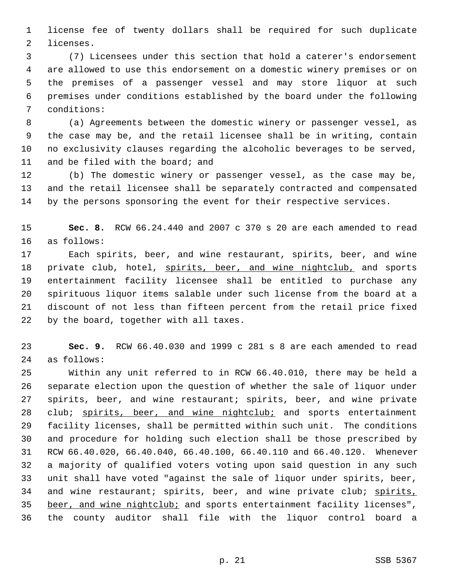1 license fee of twenty dollars shall be required for such duplicate 2 licenses.

 3 (7) Licensees under this section that hold a caterer's endorsement 4 are allowed to use this endorsement on a domestic winery premises or on 5 the premises of a passenger vessel and may store liquor at such 6 premises under conditions established by the board under the following 7 conditions:

 8 (a) Agreements between the domestic winery or passenger vessel, as 9 the case may be, and the retail licensee shall be in writing, contain 10 no exclusivity clauses regarding the alcoholic beverages to be served, 11 and be filed with the board; and

12 (b) The domestic winery or passenger vessel, as the case may be, 13 and the retail licensee shall be separately contracted and compensated 14 by the persons sponsoring the event for their respective services.

15 **Sec. 8.** RCW 66.24.440 and 2007 c 370 s 20 are each amended to read 16 as follows:

17 Each spirits, beer, and wine restaurant, spirits, beer, and wine 18 private club, hotel, spirits, beer, and wine nightclub, and sports 19 entertainment facility licensee shall be entitled to purchase any 20 spirituous liquor items salable under such license from the board at a 21 discount of not less than fifteen percent from the retail price fixed 22 by the board, together with all taxes.

23 **Sec. 9.** RCW 66.40.030 and 1999 c 281 s 8 are each amended to read 24 as follows:

25 Within any unit referred to in RCW 66.40.010, there may be held a 26 separate election upon the question of whether the sale of liquor under 27 spirits, beer, and wine restaurant; spirits, beer, and wine private 28 club; spirits, beer, and wine nightclub; and sports entertainment 29 facility licenses, shall be permitted within such unit. The conditions 30 and procedure for holding such election shall be those prescribed by 31 RCW 66.40.020, 66.40.040, 66.40.100, 66.40.110 and 66.40.120. Whenever 32 a majority of qualified voters voting upon said question in any such 33 unit shall have voted "against the sale of liquor under spirits, beer, 34 and wine restaurant; spirits, beer, and wine private club; spirits, 35 beer, and wine nightclub; and sports entertainment facility licenses", 36 the county auditor shall file with the liquor control board a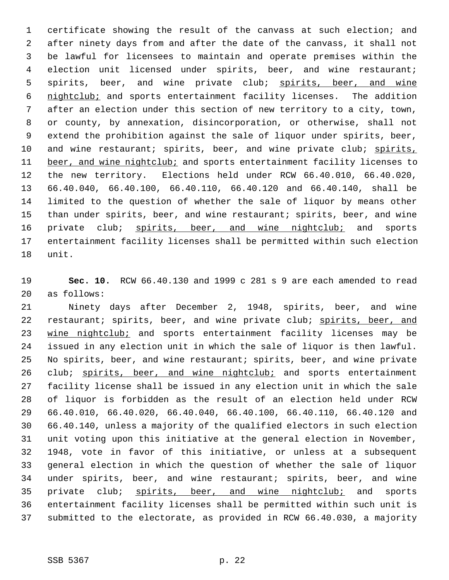1 certificate showing the result of the canvass at such election; and 2 after ninety days from and after the date of the canvass, it shall not 3 be lawful for licensees to maintain and operate premises within the 4 election unit licensed under spirits, beer, and wine restaurant; 5 spirits, beer, and wine private club; spirits, beer, and wine 6 nightclub; and sports entertainment facility licenses. The addition 7 after an election under this section of new territory to a city, town, 8 or county, by annexation, disincorporation, or otherwise, shall not 9 extend the prohibition against the sale of liquor under spirits, beer, 10 and wine restaurant; spirits, beer, and wine private club; spirits, 11 beer, and wine nightclub; and sports entertainment facility licenses to 12 the new territory. Elections held under RCW 66.40.010, 66.40.020, 13 66.40.040, 66.40.100, 66.40.110, 66.40.120 and 66.40.140, shall be 14 limited to the question of whether the sale of liquor by means other 15 than under spirits, beer, and wine restaurant; spirits, beer, and wine 16 private club; spirits, beer, and wine nightclub; and sports 17 entertainment facility licenses shall be permitted within such election 18 unit.

19 **Sec. 10.** RCW 66.40.130 and 1999 c 281 s 9 are each amended to read 20 as follows:

21 Ninety days after December 2, 1948, spirits, beer, and wine 22 restaurant; spirits, beer, and wine private club; spirits, beer, and 23 wine nightclub; and sports entertainment facility licenses may be 24 issued in any election unit in which the sale of liquor is then lawful. 25 No spirits, beer, and wine restaurant; spirits, beer, and wine private 26 club; spirits, beer, and wine nightclub; and sports entertainment 27 facility license shall be issued in any election unit in which the sale 28 of liquor is forbidden as the result of an election held under RCW 29 66.40.010, 66.40.020, 66.40.040, 66.40.100, 66.40.110, 66.40.120 and 30 66.40.140, unless a majority of the qualified electors in such election 31 unit voting upon this initiative at the general election in November, 32 1948, vote in favor of this initiative, or unless at a subsequent 33 general election in which the question of whether the sale of liquor 34 under spirits, beer, and wine restaurant; spirits, beer, and wine 35 private club; spirits, beer, and wine nightclub; and sports 36 entertainment facility licenses shall be permitted within such unit is 37 submitted to the electorate, as provided in RCW 66.40.030, a majority